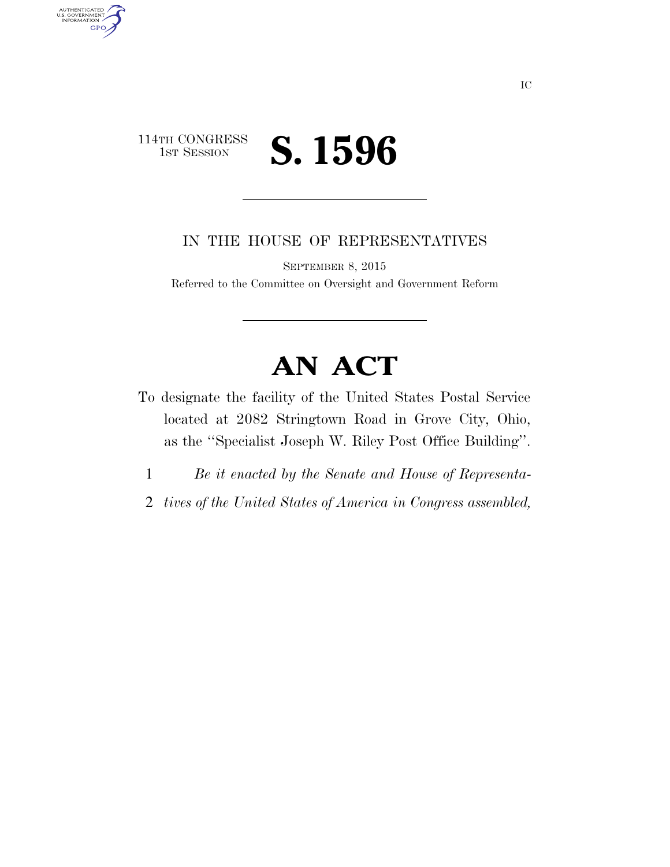## 114TH CONGRESS<br>1st Session 1ST SESSION **S. 1596**

AUTHENTICATED<br>U.S. GOVERNMENT<br>INFORMATION

**GPO** 

IN THE HOUSE OF REPRESENTATIVES

SEPTEMBER 8, 2015

Referred to the Committee on Oversight and Government Reform

## **AN ACT**

- To designate the facility of the United States Postal Service located at 2082 Stringtown Road in Grove City, Ohio, as the ''Specialist Joseph W. Riley Post Office Building''.
	- 1 *Be it enacted by the Senate and House of Representa-*
	- 2 *tives of the United States of America in Congress assembled,*